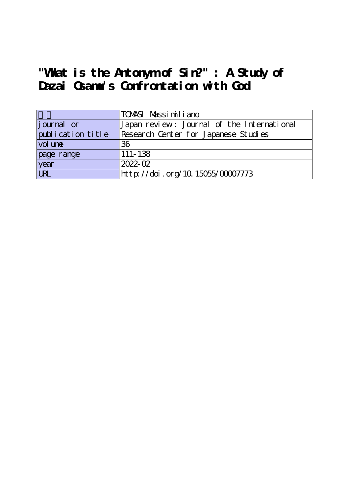# **"What is the Antonym of Sin?" : A Study of Dazai Osamu's Confrontation with God**

|                   | TOMASI Massimiliano                        |
|-------------------|--------------------------------------------|
| journal or        | Japan review: Journal of the International |
| publication title | Research Center for Japanese Studies       |
| vol une           | 36                                         |
| page range        | 111-138                                    |
| year              | 2022-02                                    |
| <b>URL</b>        | http://doi.org/10.15055/00007773           |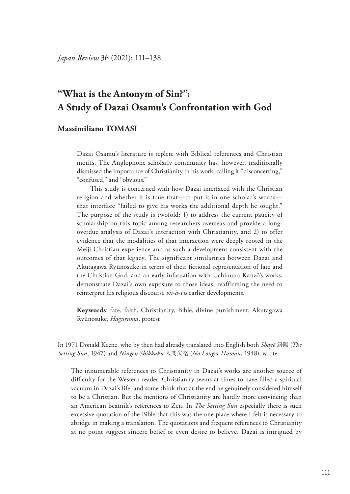# **"What is the Antonym of Sin?": A Study of Dazai Osamu's Confrontation with God**

# **Massimiliano TOMASI**

Dazai Osamu's literature is replete with Biblical references and Christian motifs. The Anglophone scholarly community has, however, traditionally dismissed the importance of Christianity in his work, calling it "disconcerting," "confused," and "obvious."

This study is concerned with how Dazai interfaced with the Christian religion and whether it is true that—to put it in one scholar's words that interface "failed to give his works the additional depth he sought." The purpose of the study is twofold: 1) to address the current paucity of scholarship on this topic among researchers overseas and provide a longoverdue analysis of Dazai's interaction with Christianity, and 2) to offer evidence that the modalities of that interaction were deeply rooted in the Meiji Christian experience and as such a development consistent with the outcomes of that legacy. The significant similarities between Dazai and Akutagawa Ryūnosuke in terms of their fctional representation of fate and the Christian God, and an early infatuation with Uchimura Kanzō's works, demonstrate Dazai's own exposure to those ideas, reaffirming the need to reinterpret his religious discourse *vis-à-vis* earlier developments.

**Keywords**: fate, faith, Christianity, Bible, divine punishment, Akutagawa Ryūnosuke, *Haguruma*, protest

In 1971 Donald Keene, who by then had already translated into English both *Shayō* 斜陽 (*The Setting Sun*, 1947) and *Ningen Shikkaku* 人間失格 (*No Longer Human*, 1948), wrote:

The innumerable references to Christianity in Dazai's works are another source of difculty for the Western reader. Christianity seems at times to have flled a spiritual vacuum in Dazai's life, and some think that at the end he genuinely considered himself to be a Christian. But the mentions of Christianity are hardly more convincing than an American beatnik's references to Zen. In *The Setting Sun* especially there is such excessive quotation of the Bible that this was the one place where I felt it necessary to abridge in making a translation. The quotations and frequent references to Christianity at no point suggest sincere belief or even desire to believe. Dazai is intrigued by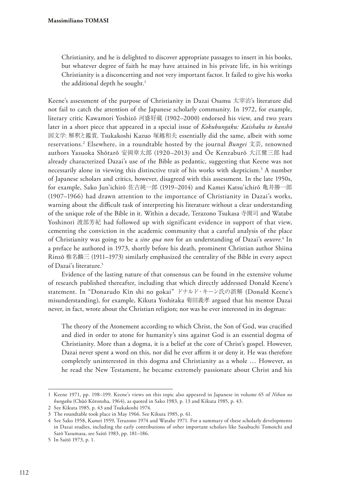Christianity, and he is delighted to discover appropriate passages to insert in his books, but whatever degree of faith he may have attained in his private life, in his writings Christianity is a disconcerting and not very important factor. It failed to give his works the additional depth he sought.<sup>1</sup>

Keene's assessment of the purpose of Christianity in Dazai Osamu 太宰治's literature did not fail to catch the attention of the Japanese scholarly community. In 1972, for example, literary critic Kawamori Yoshizō 河盛好蔵 (1902–2000) endorsed his view, and two years later in a short piece that appeared in a special issue of *Kokubungaku: Kaishaku to kanshō* 国文学: 解釈と鑑賞. Tsukakoshi Kazuo 塚越和夫 essentially did the same, albeit with some reservations.2 Elsewhere, in a roundtable hosted by the journal *Bungei* 文芸, renowned authors Yasuoka Shōtarō 安岡章太郎 (1920–2013) and Ōe Kenzaburō 大江健三郎 had already characterized Dazai's use of the Bible as pedantic, suggesting that Keene was not necessarily alone in viewing this distinctive trait of his works with skepticism.<sup>3</sup> A number of Japanese scholars and critics, however, disagreed with this assessment. In the late 1950s, for example, Sako Jun'ichirō 佐古純一郎 (1919–2014) and Kamei Katsu'ichirō 亀井勝一郎 (1907–1966) had drawn attention to the importance of Christianity in Dazai's works, warning about the difficult task of interpreting his literature without a clear understanding of the unique role of the Bible in it. Within a decade, Terazono Tsukasa 寺園司 and Watabe Yoshinori 渡部芳紀 had followed up with significant evidence in support of that view, cementing the conviction in the academic community that a careful analysis of the place of Christianity was going to be a *sine qua non* for an understanding of Dazai's *oeuvre*. 4 In a preface he authored in 1973, shortly before his death, prominent Christian author Shiina Rinzō 椎名麟三 (1911–1973) similarly emphasized the centrality of the Bible in every aspect of Dazai's literature.<sup>5</sup>

Evidence of the lasting nature of that consensus can be found in the extensive volume of research published thereafter, including that which directly addressed Donald Keene's statement. In "Donarudo Kīn shi no gokai" ドナルド・キーン氏の誤解 (Donald Keene's misunderstanding), for example, Kikuta Yoshitaka 菊田義孝 argued that his mentor Dazai never, in fact, wrote about the Christian religion; nor was he ever interested in its dogmas:

The theory of the Atonement according to which Christ, the Son of God, was crucifed and died in order to atone for humanity's sins against God is an essential dogma of Christianity. More than a dogma, it is a belief at the core of Christ's gospel. However, Dazai never spent a word on this, nor did he ever affirm it or deny it. He was therefore completely uninterested in this dogma and Christianity as a whole … However, as he read the New Testament, he became extremely passionate about Christ and his

<sup>1</sup> Keene 1971, pp. 198–199. Keene's views on this topic also appeared in Japanese in volume 65 of *Nihon no bungaku* (Chūō Kōronsha, 1964), as quoted in Sako 1983, p. 13 and Kikuta 1985, p. 43.

<sup>2</sup> See Kikuta 1985, p. 43 and Tsukakoshi 1974.

<sup>3</sup> The roundtable took place in May 1966. See Kikuta 1985, p. 61.

<sup>4</sup> See Sako 1958, Kamei 1959, Terazono 1974 and Watabe 1971. For a summary of these scholarly developments in Dazai studies, including the early contributions of other important scholars like Sasabuchi Tomoichi and Satō Yasumasa, see Saitō 1983, pp. 181–186.

<sup>5</sup> In Saitō 1973, p. 1.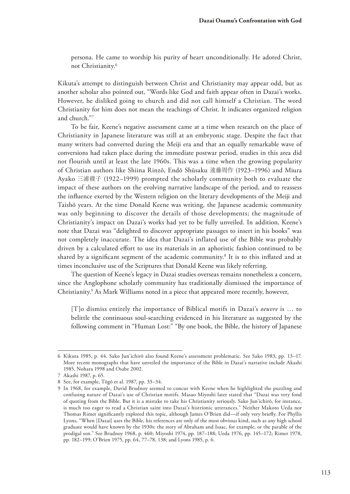persona. He came to worship his purity of heart unconditionally. He adored Christ, not Christianity.6

Kikuta's attempt to distinguish between Christ and Christianity may appear odd, but as another scholar also pointed out, "Words like God and faith appear often in Dazai's works. However, he disliked going to church and did not call himself a Christian. The word Christianity for him does not mean the teachings of Christ. It indicates organized religion and church."7

To be fair, Keene's negative assessment came at a time when research on the place of Christianity in Japanese literature was still at an embryonic stage. Despite the fact that many writers had converted during the Meiji era and that an equally remarkable wave of conversions had taken place during the immediate postwar period, studies in this area did not flourish until at least the late 1960s. This was a time when the growing popularity of Christian authors like Shiina Rinzō, Endō Shūsaku 遠藤周作 (1923–1996) and Miura Ayako 三浦綾子 (1922–1999) prompted the scholarly community both to evaluate the impact of these authors on the evolving narrative landscape of the period, and to reassess the infuence exerted by the Western religion on the literary developments of the Meiji and Taishō years. At the time Donald Keene was writing, the Japanese academic community was only beginning to discover the details of those developments; the magnitude of Christianity's impact on Dazai's works had yet to be fully unveiled. In addition, Keene's note that Dazai was "delighted to discover appropriate passages to insert in his books" was not completely inaccurate. The idea that Dazai's inflated use of the Bible was probably driven by a calculated efort to use its materials in an aphoristic fashion continued to be shared by a signifcant segment of the academic community.8 It is to this infated and at times inconclusive use of the Scriptures that Donald Keene was likely referring.

The question of Keene's legacy in Dazai studies overseas remains nonetheless a concern, since the Anglophone scholarly community has traditionally dismissed the importance of Christianity.9 As Mark Williams noted in a piece that appeared more recently, however,

[T]o dismiss entirely the importance of Biblical motifs in Dazai's *oeuvre* is … to belittle the continuous soul-searching evidenced in his literature as suggested by the following comment in "Human Lost:" "By one book, the Bible, the history of Japanese

<sup>6</sup> Kikuta 1985, p. 44. Sako Jun'ichirō also found Keene's assessment problematic. See Sako 1983, pp. 13–17. More recent monographs that have unveiled the importance of the Bible in Dazai's narrative include Akashi 1985, Nohara 1998 and Osabe 2002.

<sup>7</sup> Akashi 1987, p. 65.

<sup>8</sup> See, for example, Tōgō et al. 1987, pp. 33–34.

<sup>9</sup> In 1968, for example, David Brudnoy seemed to concur with Keene when he highlighted the puzzling and confusing nature of Dazai's use of Christian motifs. Masao Miyoshi later stated that "Dazai was very fond of quoting from the Bible. But it is a mistake to take his Christianity seriously. Sako Jun'ichirō, for instance, is much too eager to read a Christian saint into Dazai's histrionic utterances." Neither Makoto Ueda nor Thomas Rimer signifcantly explored this topic, although James O'Brien did—if only very briefy. For Phyllis Lyons, "When [Dazai] uses the Bible, his references are only of the most obvious kind, such as any high school graduate would have known by the 1930s: the story of Abraham and Isaac, for example, or the parable of the prodigal son." See Brudnoy 1968, p. 460; Miyoshi 1974, pp. 187–188; Ueda 1976, pp. 145–172; Rimer 1978, pp. 182–199; O'Brien 1975, pp. 64, 77–78, 138; and Lyons 1985, p. 6.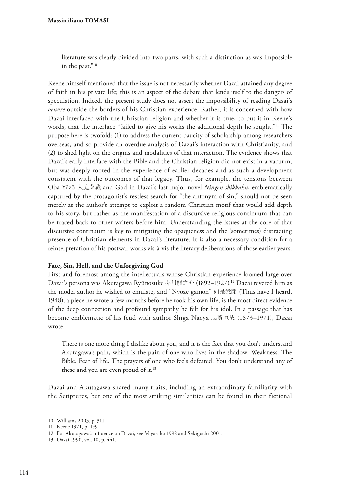literature was clearly divided into two parts, with such a distinction as was impossible in the past."10

Keene himself mentioned that the issue is not necessarily whether Dazai attained any degree of faith in his private life; this is an aspect of the debate that lends itself to the dangers of speculation. Indeed, the present study does not assert the impossibility of reading Dazai's *oeuvre* outside the borders of his Christian experience. Rather, it is concerned with how Dazai interfaced with the Christian religion and whether it is true, to put it in Keene's words, that the interface "failed to give his works the additional depth he sought."<sup>11</sup> The purpose here is twofold: (1) to address the current paucity of scholarship among researchers overseas, and so provide an overdue analysis of Dazai's interaction with Christianity, and (2) to shed light on the origins and modalities of that interaction. The evidence shows that Dazai's early interface with the Bible and the Christian religion did not exist in a vacuum, but was deeply rooted in the experience of earlier decades and as such a development consistent with the outcomes of that legacy. Thus, for example, the tensions between Ōba Yōzō 大庭葉蔵 and God in Dazai's last major novel *Ningen shikkaku*, emblematically captured by the protagonist's restless search for "the antonym of sin," should not be seen merely as the author's attempt to exploit a random Christian motif that would add depth to his story, but rather as the manifestation of a discursive religious continuum that can be traced back to other writers before him. Understanding the issues at the core of that discursive continuum is key to mitigating the opaqueness and the (sometimes) distracting presence of Christian elements in Dazai's literature. It is also a necessary condition for a reinterpretation of his postwar works vis-à-vis the literary deliberations of those earlier years.

#### **Fate, Sin, Hell, and the Unforgiving God**

First and foremost among the intellectuals whose Christian experience loomed large over Dazai's persona was Akutagawa Ryūnosuke 芥川龍之介 (1892–1927).12 Dazai revered him as the model author he wished to emulate, and "Nyoze gamon" 如是我聞 (Thus have I heard, 1948), a piece he wrote a few months before he took his own life, is the most direct evidence of the deep connection and profound sympathy he felt for his idol. In a passage that has become emblematic of his feud with author Shiga Naoya 志賀直哉 (1873–1971), Dazai wrote:

There is one more thing I dislike about you, and it is the fact that you don't understand Akutagawa's pain, which is the pain of one who lives in the shadow. Weakness. The Bible. Fear of life. The prayers of one who feels defeated. You don't understand any of these and you are even proud of it.<sup>13</sup>

Dazai and Akutagawa shared many traits, including an extraordinary familiarity with the Scriptures, but one of the most striking similarities can be found in their fictional

<sup>10</sup> Williams 2003, p. 311.

<sup>11</sup> Keene 1971, p. 199.

<sup>12</sup> For Akutagawa's infuence on Dazai, see Miyasaka 1998 and Sekiguchi 2001.

<sup>13</sup> Dazai 1990, vol. 10, p. 441.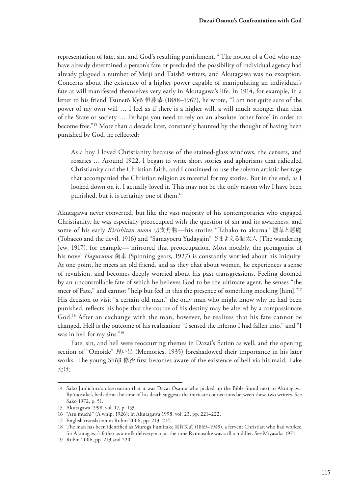representation of fate, sin, and God's resulting punishment.<sup>14</sup> The notion of a God who may have already determined a person's fate or precluded the possibility of individual agency had already plagued a number of Meiji and Taishō writers, and Akutagawa was no exception. Concerns about the existence of a higher power capable of manipulating an individual's fate at will manifested themselves very early in Akutagawa's life. In 1914, for example, in a letter to his friend Tsunetō Kyō 恒藤恭 (1888–1967), he wrote, "I am not quite sure of the power of my own will … I feel as if there is a higher will, a will much stronger than that of the State or society … Perhaps you need to rely on an absolute 'other force' in order to become free."15 More than a decade later, constantly haunted by the thought of having been punished by God, he refected:

As a boy I loved Christianity because of the stained-glass windows, the censers, and rosaries … Around 1922, I began to write short stories and aphorisms that ridiculed Christianity and the Christian faith, and I continued to use the solemn artistic heritage that accompanied the Christian religion as material for my stories. But in the end, as I looked down on it, I actually loved it. This may not be the only reason why I have been punished, but it is certainly one of them.16

Akutagawa never converted, but like the vast majority of his contemporaries who engaged Christianity, he was especially preoccupied with the question of sin and its awareness, and some of his early *Kirishitan mono* 切支丹物—his stories "Tabako to akuma" 煙草と悪魔 (Tobacco and the devil, 1916) and "Samayoeru Yudayajin" さまよえる猶太人 (The wandering Jew, 1917), for example— mirrored that preoccupation. Most notably, the protagonist of his novel *Haguruma* 歯車 (Spinning gears, 1927) is constantly worried about his iniquity. At one point, he meets an old friend, and as they chat about women, he experiences a sense of revulsion, and becomes deeply worried about his past transgressions. Feeling doomed by an uncontrollable fate of which he believes God to be the ultimate agent, he senses "the sneer of Fate," and cannot "help but feel in this the presence of something mocking [him]."<sup>17</sup> His decision to visit "a certain old man," the only man who might know why he had been punished, refects his hope that the course of his destiny may be altered by a compassionate God.18 After an exchange with the man, however, he realizes that his fate cannot be changed. Hell is the outcome of his realization: "I sensed the inferno I had fallen into," and "I was in hell for my sins."19

Fate, sin, and hell were reoccurring themes in Dazai's fiction as well, and the opening section of "Omoide" 思い出 (Memories, 1935) foreshadowed their importance in his later works. The young Shūji 修治 frst becomes aware of the existence of hell via his maid, Take たけ:

<sup>14</sup> Sako Jun'ichirō's observation that it was Dazai Osamu who picked up the Bible found next to Akutagawa Ryūnosuke's bedside at the time of his death suggests the intricate connections between these two writers. See Sako 1972, p. 51.

<sup>15</sup> Akutagawa 1998, vol. 17, p. 153.

<sup>16</sup> "Aru muchi" (A whip, 1926); in Akutagawa 1998, vol. 23, pp. 221–222.

<sup>17</sup> English translation in Rubin 2006, pp. 213–214.

<sup>18</sup> The man has been identifed as Muroga Fumitake 室賀文武 (1869–1949), a fervent Christian who had worked for Akutagawa's father as a milk deliveryman at the time Ryūnosuke was still a toddler. See Miyasaka 1971.

<sup>19</sup> Rubin 2006, pp. 213 and 220.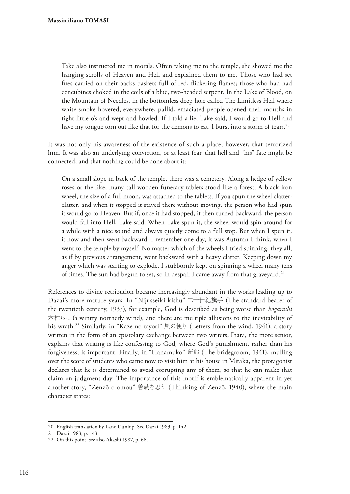Take also instructed me in morals. Often taking me to the temple, she showed me the hanging scrolls of Heaven and Hell and explained them to me. Those who had set fres carried on their backs baskets full of red, fickering fames; those who had had concubines choked in the coils of a blue, two-headed serpent. In the Lake of Blood, on the Mountain of Needles, in the bottomless deep hole called The Limitless Hell where white smoke hovered, everywhere, pallid, emaciated people opened their mouths in tight little o's and wept and howled. If I told a lie, Take said, I would go to Hell and have my tongue torn out like that for the demons to eat. I burst into a storm of tears.<sup>20</sup>

It was not only his awareness of the existence of such a place, however, that terrorized him. It was also an underlying conviction, or at least fear, that hell and "his" fate might be connected, and that nothing could be done about it:

On a small slope in back of the temple, there was a cemetery. Along a hedge of yellow roses or the like, many tall wooden funerary tablets stood like a forest. A black iron wheel, the size of a full moon, was attached to the tablets. If you spun the wheel clatterclatter, and when it stopped it stayed there without moving, the person who had spun it would go to Heaven. But if, once it had stopped, it then turned backward, the person would fall into Hell, Take said. When Take spun it, the wheel would spin around for a while with a nice sound and always quietly come to a full stop. But when I spun it, it now and then went backward. I remember one day, it was Autumn I think, when I went to the temple by myself. No matter which of the wheels I tried spinning, they all, as if by previous arrangement, went backward with a heavy clatter. Keeping down my anger which was starting to explode, I stubbornly kept on spinning a wheel many tens of times. The sun had begun to set, so in despair I came away from that graveyard.<sup>21</sup>

References to divine retribution became increasingly abundant in the works leading up to Dazai's more mature years. In "Nijusseiki kishu" 二十世紀旗手 (The standard-bearer of the twentieth century, 1937), for example, God is described as being worse than *kogarashi*  木枯らし (a wintry northerly wind), and there are multiple allusions to the inevitability of his wrath.22 Similarly, in "Kaze no tayori" 風の便り (Letters from the wind, 1941), a story written in the form of an epistolary exchange between two writers, Ihara, the more senior, explains that writing is like confessing to God, where God's punishment, rather than his forgiveness, is important. Finally, in "Hanamuko" 新郎 (The bridegroom, 1941), mulling over the score of students who came now to visit him at his house in Mitaka, the protagonist declares that he is determined to avoid corrupting any of them, so that he can make that claim on judgment day. The importance of this motif is emblematically apparent in yet another story, "Zenzō o omou" 善蔵を思う (Thinking of Zenzō, 1940), where the main character states:

<sup>20</sup> English translation by Lane Dunlop. See Dazai 1983, p. 142.

<sup>21</sup> Dazai 1983, p. 143.

<sup>22</sup> On this point, see also Akashi 1987, p. 66.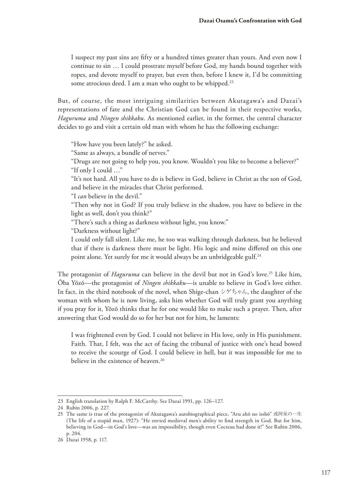I suspect my past sins are ffty or a hundred times greater than yours. And even now I continue to sin … I could prostrate myself before God, my hands bound together with ropes, and devote myself to prayer, but even then, before I knew it, I'd be committing some atrocious deed. I am a man who ought to be whipped.<sup>23</sup>

But, of course, the most intriguing similarities between Akutagawa's and Dazai's representations of fate and the Christian God can be found in their respective works, *Haguruma* and *Ningen shikkaku*. As mentioned earlier, in the former, the central character decides to go and visit a certain old man with whom he has the following exchange:

"How have you been lately?" he asked.

"Same as always, a bundle of nerves."

"Drugs are not going to help you, you know. Wouldn't you like to become a believer?" "If only I could …"

"It's not hard. All you have to do is believe in God, believe in Christ as the son of God, and believe in the miracles that Christ performed.

"I *can* believe in the devil."

"Then why not in God? If you truly believe in the shadow, you have to believe in the light as well, don't you think?"

"There's such a thing as darkness without light, you know."

"Darkness without light?"

I could only fall silent. Like me, he too was walking through darkness, but he believed that if there is darkness there must be light. His logic and mine difered on this one point alone. Yet surely for me it would always be an unbridgeable gulf.<sup>24</sup>

The protagonist of *Haguruma* can believe in the devil but not in God's love.25 Like him, Ōba Yōzō—the protagonist of *Ningen shikkaku*—is unable to believe in God's love either. In fact, in the third notebook of the novel, when Shige-chan  $\dot{\triangledown}$   $\dot{\triangledown}$   $\dot{\triangledown}$   $\dot{\triangledown}$   $\dot{\shortled{\sim}}$   $\dot{\triangledown}$  the daughter of the woman with whom he is now living, asks him whether God will truly grant you anything if you pray for it, Yōzō thinks that he for one would like to make such a prayer. Then, after answering that God would do so for her but not for him, he laments:

I was frightened even by God. I could not believe in His love, only in His punishment. Faith. That, I felt, was the act of facing the tribunal of justice with one's head bowed to receive the scourge of God. I could believe in hell, but it was impossible for me to believe in the existence of heaven.<sup>26</sup>

<sup>23</sup> English translation by Ralph F. McCarthy. See Dazai 1991, pp. 126–127.

<sup>24</sup> Rubin 2006, p. 227.

<sup>25</sup> The same is true of the protagonist of Akutagawa's autobiographical piece, "Aru ahō no isshō" 或阿呆の一生 (The life of a stupid man, 1927): "He envied medieval men's ability to fnd strength in God. But for him, believing in God—in God's love—was an impossibility, though even Cocteau had done it!" See Rubin 2006, p. 204.

<sup>26</sup> Dazai 1958, p. 117.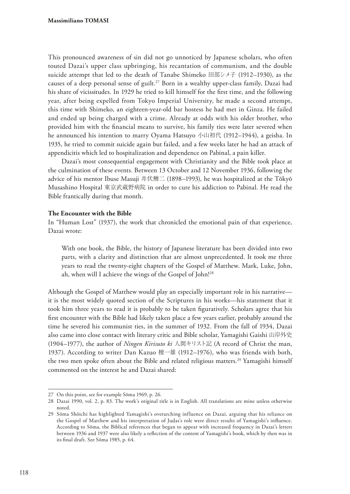This pronounced awareness of sin did not go unnoticed by Japanese scholars, who often touted Dazai's upper class upbringing, his recantation of communism, and the double suicide attempt that led to the death of Tanabe Shimeko 田部シメ子 (1912–1930), as the causes of a deep personal sense of guilt.<sup>27</sup> Born in a wealthy upper-class family, Dazai had his share of vicissitudes. In 1929 he tried to kill himself for the frst time, and the following year, after being expelled from Tokyo Imperial University, he made a second attempt, this time with Shimeko, an eighteen-year-old bar hostess he had met in Ginza. He failed and ended up being charged with a crime. Already at odds with his older brother, who provided him with the fnancial means to survive, his family ties were later severed when he announced his intention to marry Oyama Hatsuyo 小山初代 (1912–1944), a geisha. In 1935, he tried to commit suicide again but failed, and a few weeks later he had an attack of appendicitis which led to hospitalization and dependence on Pabinal, a pain killer.

Dazai's most consequential engagement with Christianity and the Bible took place at the culmination of these events. Between 13 October and 12 November 1936, following the advice of his mentor Ibuse Masuji 井伏鱒二 (1898–1993), he was hospitalized at the Tōkyō Musashino Hospital 東京武蔵野病院 in order to cure his addiction to Pabinal. He read the Bible frantically during that month.

#### **The Encounter with the Bible**

In "Human Lost" (1937), the work that chronicled the emotional pain of that experience, Dazai wrote:

With one book, the Bible, the history of Japanese literature has been divided into two parts, with a clarity and distinction that are almost unprecedented. It took me three years to read the twenty-eight chapters of the Gospel of Matthew. Mark, Luke, John, ah, when will I achieve the wings of the Gospel of John!28

Although the Gospel of Matthew would play an especially important role in his narrative it is the most widely quoted section of the Scriptures in his works—his statement that it took him three years to read it is probably to be taken fguratively. Scholars agree that his frst encounter with the Bible had likely taken place a few years earlier, probably around the time he severed his communist ties, in the summer of 1932. From the fall of 1934, Dazai also came into close contact with literary critic and Bible scholar, Yamagishi Gaishi 山岸外史 (1904–1977), the author of *Ningen Kirisuto ki* 人間キリスト記 (A record of Christ the man, 1937). According to writer Dan Kazuo 檀一雄 (1912–1976), who was friends with both, the two men spoke often about the Bible and related religious matters.<sup>29</sup> Yamagishi himself commented on the interest he and Dazai shared:

<sup>27</sup> On this point, see for example Sōma 1969, p. 26.

<sup>28</sup> Dazai 1990, vol. 2, p. 83. The work's original title is in English. All translations are mine unless otherwise noted.

<sup>29</sup> Sōma Shōichi has highlighted Yamagishi's overarching influence on Dazai, arguing that his reliance on the Gospel of Matthew and his interpretation of Judas's role were direct results of Yamagishi's infuence. According to Sōma, the Biblical references that began to appear with increased frequency in Dazai's letters between 1936 and 1937 were also likely a refection of the content of Yamagishi's book, which by then was in its fnal draft. See Sōma 1985, p. 64.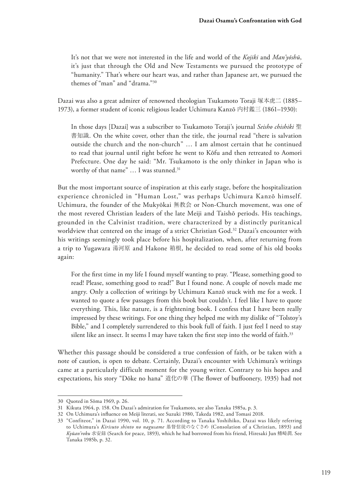It's not that we were not interested in the life and world of the *Kojiki* and *Man'yōshū*, it's just that through the Old and New Testaments we pursued the prototype of "humanity." That's where our heart was, and rather than Japanese art, we pursued the themes of "man" and "drama."30

Dazai was also a great admirer of renowned theologian Tsukamoto Toraji 塚本虎二 (1885– 1973), a former student of iconic religious leader Uchimura Kanzō 内村鑑三 (1861–1930):

In those days [Dazai] was a subscriber to Tsukamoto Toraji's journal *Seisho chishiki* 聖 書知識. On the white cover, other than the title, the journal read "there is salvation outside the church and the non-church" … I am almost certain that he continued to read that journal until right before he went to Kōfu and then retreated to Aomori Prefecture. One day he said: "Mr. Tsukamoto is the only thinker in Japan who is worthy of that name" ... I was stunned.<sup>31</sup>

But the most important source of inspiration at this early stage, before the hospitalization experience chronicled in "Human Lost," was perhaps Uchimura Kanzō himself. Uchimura, the founder of the Mukyōkai 無教会 or Non-Church movement, was one of the most revered Christian leaders of the late Meiji and Taishō periods. His teachings, grounded in the Calvinist tradition, were characterized by a distinctly puritanical worldview that centered on the image of a strict Christian God.<sup>32</sup> Dazai's encounter with his writings seemingly took place before his hospitalization, when, after returning from a trip to Yugawara 湯河原 and Hakone 箱根, he decided to read some of his old books again:

For the frst time in my life I found myself wanting to pray. "Please, something good to read! Please, something good to read!" But I found none. A couple of novels made me angry. Only a collection of writings by Uchimura Kanzō stuck with me for a week. I wanted to quote a few passages from this book but couldn't. I feel like I have to quote everything. This, like nature, is a frightening book. I confess that I have been really impressed by these writings. For one thing they helped me with my dislike of "Tolstoy's Bible," and I completely surrendered to this book full of faith. I just feel I need to stay silent like an insect. It seems I may have taken the first step into the world of faith.<sup>33</sup>

Whether this passage should be considered a true confession of faith, or be taken with a note of caution, is open to debate. Certainly, Dazai's encounter with Uchimura's writings came at a particularly difficult moment for the young writer. Contrary to his hopes and expectations, his story "Dōke no hana" 道化の華 (The fower of bufoonery, 1935) had not

<sup>30</sup> Quoted in Sōma 1969, p. 26.

<sup>31</sup> Kikuta 1964, p. 158. On Dazai's admiration for Tsukamoto, see also Tanaka 1985a, p. 3.

<sup>32</sup> On Uchimura's infuence on Meiji literati, see Suzuki 1980, Takeda 1982, and Tomasi 2018.

<sup>33</sup> "Confiteor," in Dazai 1990, vol. 10, p. 71. According to Tanaka Yoshihiko, Dazai was likely referring to Uchimura's *Kirisuto shinto no nagusame* 基督信徒のなぐさめ (Consolation of a Christian, 1893) and *Kyūan'roku* 求安録 (Search for peace, 1893), which he had borrowed from his friend, Hiresaki Jun 鰭崎潤. See Tanaka 1985b, p. 32.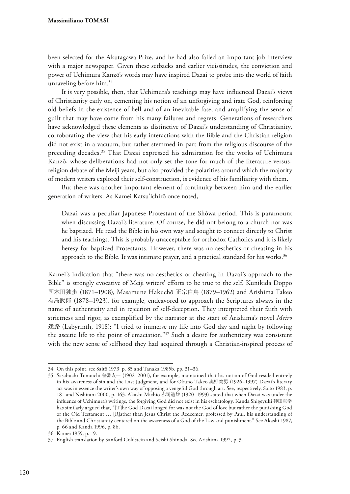#### **Massimiliano TOMASI**

been selected for the Akutagawa Prize, and he had also failed an important job interview with a major newspaper. Given these setbacks and earlier vicissitudes, the conviction and power of Uchimura Kanzō's words may have inspired Dazai to probe into the world of faith unraveling before him.34

It is very possible, then, that Uchimura's teachings may have infuenced Dazai's views of Christianity early on, cementing his notion of an unforgiving and irate God, reinforcing old beliefs in the existence of hell and of an inevitable fate, and amplifying the sense of guilt that may have come from his many failures and regrets. Generations of researchers have acknowledged these elements as distinctive of Dazai's understanding of Christianity, corroborating the view that his early interactions with the Bible and the Christian religion did not exist in a vacuum, but rather stemmed in part from the religious discourse of the preceding decades.35 That Dazai expressed his admiration for the works of Uchimura Kanzō, whose deliberations had not only set the tone for much of the literature-versusreligion debate of the Meiji years, but also provided the polarities around which the majority of modern writers explored their self-construction, is evidence of his familiarity with them.

But there was another important element of continuity between him and the earlier generation of writers. As Kamei Katsu'ichirō once noted,

Dazai was a peculiar Japanese Protestant of the Shōwa period. This is paramount when discussing Dazai's literature. Of course, he did not belong to a church nor was he baptized. He read the Bible in his own way and sought to connect directly to Christ and his teachings. This is probably unacceptable for orthodox Catholics and it is likely heresy for baptized Protestants. However, there was no aesthetics or cheating in his approach to the Bible. It was intimate prayer, and a practical standard for his works.<sup>36</sup>

Kamei's indication that "there was no aesthetics or cheating in Dazai's approach to the Bible" is strongly evocative of Meiji writers' efforts to be true to the self. Kunikida Doppo 国木田独歩 (1871–1908), Masamune Hakuchō 正宗白鳥 (1879–1962) and Arishima Takeo 有島武郎 (1878–1923), for example, endeavored to approach the Scriptures always in the name of authenticity and in rejection of self-deception. They interpreted their faith with strictness and rigor, as exemplified by the narrator at the start of Arishima's novel *Meiro*  迷路 (Labyrinth, 1918): "I tried to immerse my life into God day and night by following the ascetic life to the point of emaciation." $37$  Such a desire for authenticity was consistent with the new sense of selfhood they had acquired through a Christian-inspired process of

<sup>34</sup> On this point, see Saitō 1973, p. 85 and Tanaka 1985b, pp. 31–36.

<sup>35</sup> Sasabuchi Tomoichi 笹淵友一 (1902–2001), for example, maintained that his notion of God resided entirely in his awareness of sin and the Last Judgment, and for Okuno Takeo 奥野健男 (1926–1997) Dazai's literary act was in essence the writer's own way of opposing a vengeful God through art. See, respectively, Saitō 1983, p. 181 and Nishitani 2000, p. 163. Akashi Michio 赤司道雄 (1920–1993) stated that when Dazai was under the infuence of Uchimura's writings, the forgiving God did not exist in his eschatology. Kanda Shigeyuki 神田重幸 has similarly argued that, "[T]he God Dazai longed for was not the God of love but rather the punishing God of the Old Testament … [R]ather than Jesus Christ the Redeemer, professed by Paul, his understanding of the Bible and Christianity centered on the awareness of a God of the Law and punishment." See Akashi 1987, p. 66 and Kanda 1996, p. 86.

<sup>36</sup> Kamei 1959, p. 19.

<sup>37</sup> English translation by Sanford Goldstein and Seishi Shinoda. See Arishima 1992, p. 3.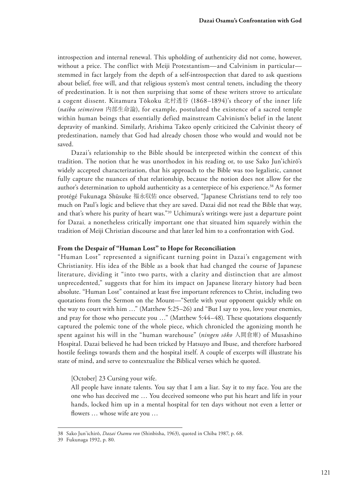introspection and internal renewal. This upholding of authenticity did not come, however, without a price. The conflict with Meiji Protestantism—and Calvinism in particular stemmed in fact largely from the depth of a self-introspection that dared to ask questions about belief, free will, and that religious system's most central tenets, including the theory of predestination. It is not then surprising that some of these writers strove to articulate a cogent dissent. Kitamura Tōkoku 北村透谷 (1868–1894)'s theory of the inner life (*naibu seimeiron* 内部生命論), for example, postulated the existence of a sacred temple within human beings that essentially defied mainstream Calvinism's belief in the latent depravity of mankind. Similarly, Arishima Takeo openly criticized the Calvinist theory of predestination, namely that God had already chosen those who would and would not be saved.

Dazai's relationship to the Bible should be interpreted within the context of this tradition. The notion that he was unorthodox in his reading or, to use Sako Jun'ichirō's widely accepted characterization, that his approach to the Bible was too legalistic, cannot fully capture the nuances of that relationship, because the notion does not allow for the author's determination to uphold authenticity as a centerpiece of his experience.38 As former protégé Fukunaga Shūsuke 福永収佑 once observed, "Japanese Christians tend to rely too much on Paul's logic and believe that they are saved. Dazai did not read the Bible that way, and that's where his purity of heart was."39 Uchimura's writings were just a departure point for Dazai, a nonetheless critically important one that situated him squarely within the tradition of Meiji Christian discourse and that later led him to a confrontation with God.

#### **From the Despair of "Human Lost" to Hope for Reconciliation**

"Human Lost" represented a significant turning point in Dazai's engagement with Christianity. His idea of the Bible as a book that had changed the course of Japanese literature, dividing it "into two parts, with a clarity and distinction that are almost unprecedented," suggests that for him its impact on Japanese literary history had been absolute. "Human Lost" contained at least fve important references to Christ, including two quotations from the Sermon on the Mount—"Settle with your opponent quickly while on the way to court with him …" (Matthew 5:25–26) and "But I say to you, love your enemies, and pray for those who persecute you …" (Matthew 5:44–48). These quotations eloquently captured the polemic tone of the whole piece, which chronicled the agonizing month he spent against his will in the "human warehouse" (*ningen sōko* 人間倉庫) of Musashino Hospital. Dazai believed he had been tricked by Hatsuyo and Ibuse, and therefore harbored hostile feelings towards them and the hospital itself. A couple of excerpts will illustrate his state of mind, and serve to contextualize the Biblical verses which he quoted.

[October] 23 Cursing your wife.

All people have innate talents. You say that I am a liar. Say it to my face. You are the one who has deceived me … You deceived someone who put his heart and life in your hands, locked him up in a mental hospital for ten days without not even a letter or flowers ... whose wife are you ...

<sup>38</sup> Sako Jun'ichirō, *Dazai Osamu ron* (Shinbisha, 1963), quoted in Chiba 1987, p. 68.

<sup>39</sup> Fukunaga 1992, p. 80.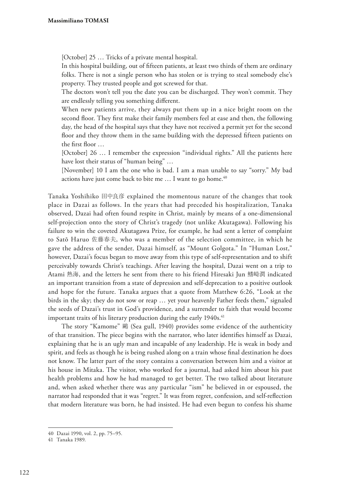[October] 25 … Tricks of a private mental hospital.

In this hospital building, out of ffteen patients, at least two thirds of them are ordinary folks. There is not a single person who has stolen or is trying to steal somebody else's property. They trusted people and got screwed for that.

The doctors won't tell you the date you can be discharged. They won't commit. They are endlessly telling you something diferent.

When new patients arrive, they always put them up in a nice bright room on the second foor. They frst make their family members feel at ease and then, the following day, the head of the hospital says that they have not received a permit yet for the second foor and they throw them in the same building with the depressed ffteen patients on the frst foor …

[October] 26 … I remember the expression "individual rights." All the patients here have lost their status of "human being" …

[November] 10 I am the one who is bad. I am a man unable to say "sorry." My bad actions have just come back to bite me ... I want to go home.<sup>40</sup>

Tanaka Yoshihiko 田中良彦 explained the momentous nature of the changes that took place in Dazai as follows. In the years that had preceded his hospitalization, Tanaka observed, Dazai had often found respite in Christ, mainly by means of a one-dimensional self-projection onto the story of Christ's tragedy (not unlike Akutagawa). Following his failure to win the coveted Akutagawa Prize, for example, he had sent a letter of complaint to Satō Haruo 佐藤春夫, who was a member of the selection committee, in which he gave the address of the sender, Dazai himself, as "Mount Golgota." In "Human Lost," however, Dazai's focus began to move away from this type of self-representation and to shift perceivably towards Christ's teachings. After leaving the hospital, Dazai went on a trip to Atami 熱海, and the letters he sent from there to his friend Hiresaki Jun 鰭崎潤 indicated an important transition from a state of depression and self-deprecation to a positive outlook and hope for the future. Tanaka argues that a quote from Matthew 6:26, "Look at the birds in the sky; they do not sow or reap … yet your heavenly Father feeds them," signaled the seeds of Dazai's trust in God's providence, and a surrender to faith that would become important traits of his literary production during the early  $1940s$ .<sup>41</sup>

The story "Kamome" 鷗 (Sea gull, 1940) provides some evidence of the authenticity of that transition. The piece begins with the narrator, who later identifes himself as Dazai, explaining that he is an ugly man and incapable of any leadership. He is weak in body and spirit, and feels as though he is being rushed along on a train whose fnal destination he does not know. The latter part of the story contains a conversation between him and a visitor at his house in Mitaka. The visitor, who worked for a journal, had asked him about his past health problems and how he had managed to get better. The two talked about literature and, when asked whether there was any particular "ism" he believed in or espoused, the narrator had responded that it was "regret." It was from regret, confession, and self-refection that modern literature was born, he had insisted. He had even begun to confess his shame

<sup>40</sup> Dazai 1990, vol. 2, pp. 75–95.

<sup>41</sup> Tanaka 1989.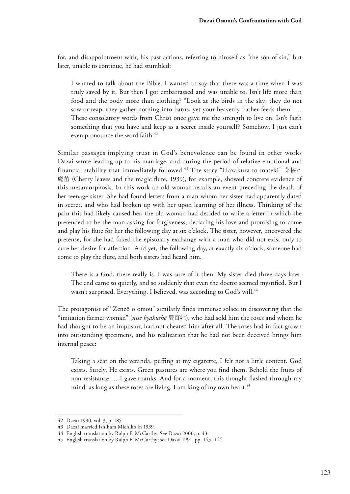for, and disappointment with, his past actions, referring to himself as "the son of sin," but later, unable to continue, he had stumbled:

I wanted to talk about the Bible. I wanted to say that there was a time when I was truly saved by it. But then I got embarrassed and was unable to. Isn't life more than food and the body more than clothing? "Look at the birds in the sky; they do not sow or reap, they gather nothing into barns, yet your heavenly Father feeds them" … These consolatory words from Christ once gave me the strength to live on. Isn't faith something that you have and keep as a secret inside yourself? Somehow, I just can't even pronounce the word faith.<sup>42</sup>

Similar passages implying trust in God's benevolence can be found in other works Dazai wrote leading up to his marriage, and during the period of relative emotional and financial stability that immediately followed.43 The story "Hazakura to mateki" 葉桜と 魔笛 (Cherry leaves and the magic flute, 1939), for example, showed concrete evidence of this metamorphosis. In this work an old woman recalls an event preceding the death of her teenage sister. She had found letters from a man whom her sister had apparently dated in secret, and who had broken up with her upon learning of her illness. Thinking of the pain this had likely caused her, the old woman had decided to write a letter in which she pretended to be the man asking for forgiveness, declaring his love and promising to come and play his fute for her the following day at six o'clock. The sister, however, uncovered the pretense, for she had faked the epistolary exchange with a man who did not exist only to cure her desire for afection. And yet, the following day, at exactly six o'clock, someone had come to play the fute, and both sisters had heard him.

There is a God, there really is. I was sure of it then. My sister died three days later. The end came so quietly, and so suddenly that even the doctor seemed mystifed. But I wasn't surprised. Everything, I believed, was according to God's will.<sup>44</sup>

The protagonist of "Zenzō o omou" similarly fnds immense solace in discovering that the "imitation farmer woman" (*nise byakushō* 贋百姓), who had sold him the roses and whom he had thought to be an impostor, had not cheated him after all. The roses had in fact grown into outstanding specimens, and his realization that he had not been deceived brings him internal peace:

Taking a seat on the veranda, pufng at my cigarette, I felt not a little content. God exists. Surely, He exists. Green pastures are where you fnd them. Behold the fruits of non-resistance … I gave thanks. And for a moment, this thought fashed through my mind: as long as these roses are living, I am king of my own heart.<sup>45</sup>

<sup>42</sup> Dazai 1990, vol. 3, p. 185.

<sup>43</sup> Dazai married Ishihara Michiko in 1939.

<sup>44</sup> English translation by Ralph F. McCarthy. See Dazai 2000, p. 43.

<sup>45</sup> English translation by Ralph F. McCarthy; see Dazai 1991, pp. 143–144.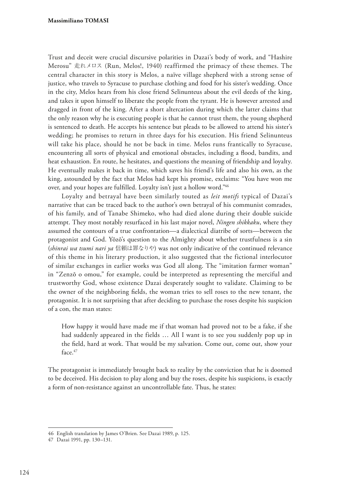Trust and deceit were crucial discursive polarities in Dazai's body of work, and "Hashire Merosu" 走れメロス (Run, Melos!, 1940) reaffirmed the primacy of these themes. The central character in this story is Melos, a naïve village shepherd with a strong sense of justice, who travels to Syracuse to purchase clothing and food for his sister's wedding. Once in the city, Melos hears from his close friend Selinunteus about the evil deeds of the king, and takes it upon himself to liberate the people from the tyrant. He is however arrested and dragged in front of the king. After a short altercation during which the latter claims that the only reason why he is executing people is that he cannot trust them, the young shepherd is sentenced to death. He accepts his sentence but pleads to be allowed to attend his sister's wedding; he promises to return in three days for his execution. His friend Selinunteus will take his place, should he not be back in time. Melos runs frantically to Syracuse, encountering all sorts of physical and emotional obstacles, including a food, bandits, and heat exhaustion. En route, he hesitates, and questions the meaning of friendship and loyalty. He eventually makes it back in time, which saves his friend's life and also his own, as the king, astounded by the fact that Melos had kept his promise, exclaims: "You have won me over, and your hopes are fulflled. Loyalty isn't just a hollow word."46

Loyalty and betrayal have been similarly touted as *leit motifs* typical of Dazai's narrative that can be traced back to the author's own betrayal of his communist comrades, of his family, and of Tanabe Shimeko, who had died alone during their double suicide attempt. They most notably resurfaced in his last major novel, *Ningen shikkaku*, where they assumed the contours of a true confrontation—a dialectical diatribe of sorts—between the protagonist and God. Yōzō's question to the Almighty about whether trustfulness is a sin (*shinrai wa tsumi nari ya* 信頼は罪なりや) was not only indicative of the continued relevance of this theme in his literary production, it also suggested that the fictional interlocutor of similar exchanges in earlier works was God all along. The "imitation farmer woman" in "Zenzō o omou," for example, could be interpreted as representing the merciful and trustworthy God, whose existence Dazai desperately sought to validate. Claiming to be the owner of the neighboring felds, the woman tries to sell roses to the new tenant, the protagonist. It is not surprising that after deciding to purchase the roses despite his suspicion of a con, the man states:

How happy it would have made me if that woman had proved not to be a fake, if she had suddenly appeared in the fields … All I want is to see you suddenly pop up in the feld, hard at work. That would be my salvation. Come out, come out, show your face.<sup>47</sup>

The protagonist is immediately brought back to reality by the conviction that he is doomed to be deceived. His decision to play along and buy the roses, despite his suspicions, is exactly a form of non-resistance against an uncontrollable fate. Thus, he states:

<sup>46</sup> English translation by James O'Brien. See Dazai 1989, p. 125.

<sup>47</sup> Dazai 1991, pp. 130–131.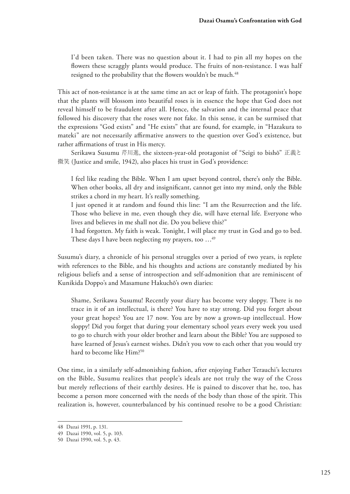I'd been taken. There was no question about it. I had to pin all my hopes on the fowers these scraggly plants would produce. The fruits of non-resistance. I was half resigned to the probability that the flowers wouldn't be much.<sup>48</sup>

This act of non-resistance is at the same time an act or leap of faith. The protagonist's hope that the plants will blossom into beautiful roses is in essence the hope that God does not reveal himself to be fraudulent after all. Hence, the salvation and the internal peace that followed his discovery that the roses were not fake. In this sense, it can be surmised that the expressions "God exists" and "He exists" that are found, for example, in "Hazakura to mateki" are not necessarily afrmative answers to the question over God's existence, but rather affirmations of trust in His mercy.

Serikawa Susumu 芹川進, the sixteen-year-old protagonist of "Seigi to bishō" 正義と 微笑 (Justice and smile, 1942), also places his trust in God's providence:

I feel like reading the Bible. When I am upset beyond control, there's only the Bible. When other books, all dry and insignifcant, cannot get into my mind, only the Bible strikes a chord in my heart. It's really something.

I just opened it at random and found this line: "I am the Resurrection and the life. Those who believe in me, even though they die, will have eternal life. Everyone who lives and believes in me shall not die. Do you believe this?"

I had forgotten. My faith is weak. Tonight, I will place my trust in God and go to bed. These days I have been neglecting my prayers, too ...<sup>49</sup>

Susumu's diary, a chronicle of his personal struggles over a period of two years, is replete with references to the Bible, and his thoughts and actions are constantly mediated by his religious beliefs and a sense of introspection and self-admonition that are reminiscent of Kunikida Doppo's and Masamune Hakuchō's own diaries:

Shame, Serikawa Susumu! Recently your diary has become very sloppy. There is no trace in it of an intellectual, is there? You have to stay strong. Did you forget about your great hopes? You are 17 now. You are by now a grown-up intellectual. How sloppy! Did you forget that during your elementary school years every week you used to go to church with your older brother and learn about the Bible? You are supposed to have learned of Jesus's earnest wishes. Didn't you vow to each other that you would try hard to become like Him?<sup>50</sup>

One time, in a similarly self-admonishing fashion, after enjoying Father Terauchi's lectures on the Bible, Susumu realizes that people's ideals are not truly the way of the Cross but merely reflections of their earthly desires. He is pained to discover that he, too, has become a person more concerned with the needs of the body than those of the spirit. This realization is, however, counterbalanced by his continued resolve to be a good Christian:

<sup>48</sup> Dazai 1991, p. 131.

<sup>49</sup> Dazai 1990, vol. 5, p. 103.

<sup>50</sup> Dazai 1990, vol. 5, p. 43.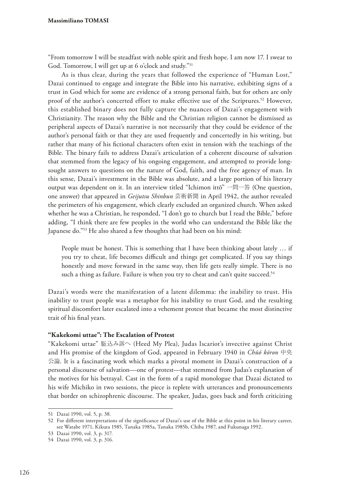"From tomorrow I will be steadfast with noble spirit and fresh hope. I am now 17. I swear to God. Tomorrow, I will get up at 6 o'clock and study."<sup>51</sup>

As is thus clear, during the years that followed the experience of "Human Lost," Dazai continued to engage and integrate the Bible into his narrative, exhibiting signs of a trust in God which for some are evidence of a strong personal faith, but for others are only proof of the author's concerted effort to make effective use of the Scriptures.52 However, this established binary does not fully capture the nuances of Dazai's engagement with Christianity. The reason why the Bible and the Christian religion cannot be dismissed as peripheral aspects of Dazai's narrative is not necessarily that they could be evidence of the author's personal faith or that they are used frequently and concertedly in his writing, but rather that many of his fictional characters often exist in tension with the teachings of the Bible. The binary fails to address Dazai's articulation of a coherent discourse of salvation that stemmed from the legacy of his ongoing engagement, and attempted to provide longsought answers to questions on the nature of God, faith, and the free agency of man. In this sense, Dazai's investment in the Bible was absolute, and a large portion of his literary output was dependent on it. In an interview titled "Ichimon ittō" 一問一答 (One question, one answer) that appeared in *Geijutsu Shinbun* 芸術新聞 in April 1942, the author revealed the perimeters of his engagement, which clearly excluded an organized church. When asked whether he was a Christian, he responded, "I don't go to church but I read the Bible," before adding, "I think there are few peoples in the world who can understand the Bible like the Japanese do."53 He also shared a few thoughts that had been on his mind:

People must be honest. This is something that I have been thinking about lately … if you try to cheat, life becomes difficult and things get complicated. If you say things honestly and move forward in the same way, then life gets really simple. There is no such a thing as failure. Failure is when you try to cheat and can't quite succeed.<sup>54</sup>

Dazai's words were the manifestation of a latent dilemma: the inability to trust. His inability to trust people was a metaphor for his inability to trust God, and the resulting spiritual discomfort later escalated into a vehement protest that became the most distinctive trait of his fnal years.

# **"Kakekomi uttae": The Escalation of Protest**

"Kakekomi uttae" 駈込み訴へ (Heed My Plea), Judas Iscariot's invective against Christ and His promise of the kingdom of God, appeared in February 1940 in *Chūō kōron* 中央 公論. It is a fascinating work which marks a pivotal moment in Dazai's construction of a personal discourse of salvation—one of protest—that stemmed from Judas's explanation of the motives for his betrayal. Cast in the form of a rapid monologue that Dazai dictated to his wife Michiko in two sessions, the piece is replete with utterances and pronouncements that border on schizophrenic discourse. The speaker, Judas, goes back and forth criticizing

<sup>51</sup> Dazai 1990, vol. 5, p. 38.

<sup>52</sup> For diferent interpretations of the signifcance of Dazai's use of the Bible at this point in his literary career, see Watabe 1971, Kikuta 1985, Tanaka 1985a, Tanaka 1985b, Chiba 1987, and Fukunaga 1992.

<sup>53</sup> Dazai 1990, vol. 3, p. 317.

<sup>54</sup> Dazai 1990, vol. 3, p. 316.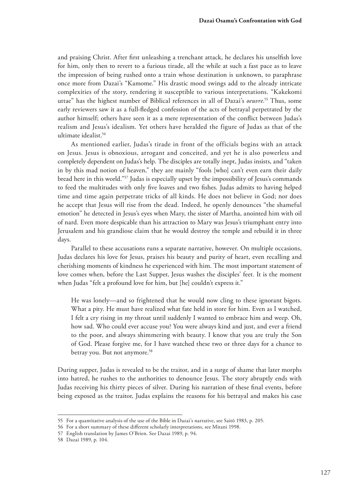and praising Christ. After frst unleashing a trenchant attack, he declares his unselfsh love for him, only then to revert to a furious tirade, all the while at such a fast pace as to leave the impression of being rushed onto a train whose destination is unknown, to paraphrase once more from Dazai's "Kamome." His drastic mood swings add to the already intricate complexities of the story, rendering it susceptible to various interpretations. "Kakekomi uttae" has the highest number of Biblical references in all of Dazai's *oeuvre*. <sup>55</sup> Thus, some early reviewers saw it as a full-fedged confession of the acts of betrayal perpetrated by the author himself; others have seen it as a mere representation of the confict between Judas's realism and Jesus's idealism. Yet others have heralded the figure of Judas as that of the ultimate idealist.<sup>56</sup>

As mentioned earlier, Judas's tirade in front of the officials begins with an attack on Jesus. Jesus is obnoxious, arrogant and conceited, and yet he is also powerless and completely dependent on Judas's help. The disciples are totally inept, Judas insists, and "taken in by this mad notion of heaven," they are mainly "fools [who] can't even earn their daily bread here in this world."57 Judas is especially upset by the impossibility of Jesus's commands to feed the multitudes with only fve loaves and two fshes. Judas admits to having helped time and time again perpetrate tricks of all kinds. He does not believe in God; nor does he accept that Jesus will rise from the dead. Indeed, he openly denounces "the shameful emotion" he detected in Jesus's eyes when Mary, the sister of Martha, anointed him with oil of nard. Even more despicable than his attraction to Mary was Jesus's triumphant entry into Jerusalem and his grandiose claim that he would destroy the temple and rebuild it in three days.

Parallel to these accusations runs a separate narrative, however. On multiple occasions, Judas declares his love for Jesus, praises his beauty and purity of heart, even recalling and cherishing moments of kindness he experienced with him. The most important statement of love comes when, before the Last Supper, Jesus washes the disciples' feet. It is the moment when Judas "felt a profound love for him, but [he] couldn't express it."

He was lonely—and so frightened that he would now cling to these ignorant bigots. What a pity. He must have realized what fate held in store for him. Even as I watched, I felt a cry rising in my throat until suddenly I wanted to embrace him and weep. Oh, how sad. Who could ever accuse you? You were always kind and just, and ever a friend to the poor, and always shimmering with beauty. I know that you are truly the Son of God. Please forgive me, for I have watched these two or three days for a chance to betray you. But not anymore.<sup>58</sup>

During supper, Judas is revealed to be the traitor, and in a surge of shame that later morphs into hatred, he rushes to the authorities to denounce Jesus. The story abruptly ends with Judas receiving his thirty pieces of silver. During his narration of these fnal events, before being exposed as the traitor, Judas explains the reasons for his betrayal and makes his case

<sup>55</sup> For a quantitative analysis of the use of the Bible in Dazai's narrative, see Saitō 1983, p. 205.

<sup>56</sup> For a short summary of these diferent scholarly interpretations, see Mitani 1998.

<sup>57</sup> English translation by James O'Brien. See Dazai 1989, p. 94.

<sup>58</sup> Dazai 1989, p. 104.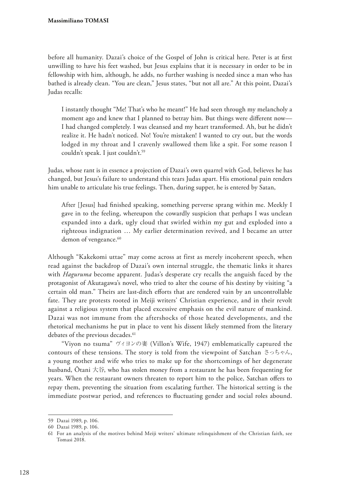before all humanity. Dazai's choice of the Gospel of John is critical here. Peter is at frst unwilling to have his feet washed, but Jesus explains that it is necessary in order to be in fellowship with him, although, he adds, no further washing is needed since a man who has bathed is already clean. "You are clean," Jesus states, "but not all are." At this point, Dazai's Judas recalls:

I instantly thought "Me! That's who he meant!" He had seen through my melancholy a moment ago and knew that I planned to betray him. But things were diferent now— I had changed completely. I was cleansed and my heart transformed. Ah, but he didn't realize it. He hadn't noticed. No! You're mistaken! I wanted to cry out, but the words lodged in my throat and I cravenly swallowed them like a spit. For some reason I couldn't speak. I just couldn't.59

Judas, whose rant is in essence a projection of Dazai's own quarrel with God, believes he has changed, but Jesus's failure to understand this tears Judas apart. His emotional pain renders him unable to articulate his true feelings. Then, during supper, he is entered by Satan,

After [Jesus] had fnished speaking, something perverse sprang within me. Meekly I gave in to the feeling, whereupon the cowardly suspicion that perhaps I was unclean expanded into a dark, ugly cloud that swirled within my gut and exploded into a righteous indignation … My earlier determination revived, and I became an utter demon of vengeance.<sup>60</sup>

Although "Kakekomi uttae" may come across at first as merely incoherent speech, when read against the backdrop of Dazai's own internal struggle, the thematic links it shares with *Haguruma* become apparent. Judas's desperate cry recalls the anguish faced by the protagonist of Akutagawa's novel, who tried to alter the course of his destiny by visiting "a certain old man." Theirs are last-ditch eforts that are rendered vain by an uncontrollable fate. They are protests rooted in Meiji writers' Christian experience, and in their revolt against a religious system that placed excessive emphasis on the evil nature of mankind. Dazai was not immune from the aftershocks of those heated developments, and the rhetorical mechanisms he put in place to vent his dissent likely stemmed from the literary debates of the previous decades.<sup>61</sup>

"Viyon no tsuma" ヴィヨンの妻 (Villon's Wife, 1947) emblematically captured the contours of these tensions. The story is told from the viewpoint of Satchan さっちゃん, a young mother and wife who tries to make up for the shortcomings of her degenerate husband, Ōtani 大谷, who has stolen money from a restaurant he has been frequenting for years. When the restaurant owners threaten to report him to the police, Satchan ofers to repay them, preventing the situation from escalating further. The historical setting is the immediate postwar period, and references to fuctuating gender and social roles abound.

<sup>59</sup> Dazai 1989, p. 106.

<sup>60</sup> Dazai 1989, p. 106.

<sup>61</sup> For an analysis of the motives behind Meiji writers' ultimate relinquishment of the Christian faith, see Tomasi 2018.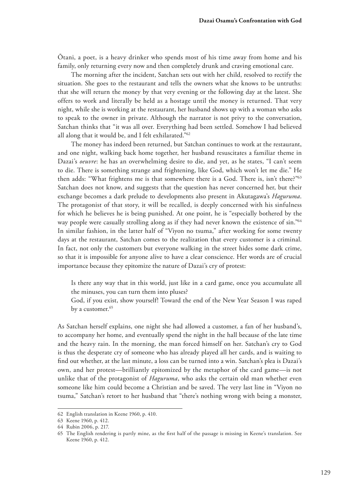Ōtani, a poet, is a heavy drinker who spends most of his time away from home and his family, only returning every now and then completely drunk and craving emotional care.

The morning after the incident, Satchan sets out with her child, resolved to rectify the situation. She goes to the restaurant and tells the owners what she knows to be untruths: that she will return the money by that very evening or the following day at the latest. She offers to work and literally be held as a hostage until the money is returned. That very night, while she is working at the restaurant, her husband shows up with a woman who asks to speak to the owner in private. Although the narrator is not privy to the conversation, Satchan thinks that "it was all over. Everything had been settled. Somehow I had believed all along that it would be, and I felt exhilarated."62

The money has indeed been returned, but Satchan continues to work at the restaurant, and one night, walking back home together, her husband resuscitates a familiar theme in Dazai's *oeuvre*: he has an overwhelming desire to die, and yet, as he states, "I can't seem to die. There is something strange and frightening, like God, which won't let me die." He then adds: "What frightens me is that somewhere there is a God. There is, isn't there?"<sup>63</sup> Satchan does not know, and suggests that the question has never concerned her, but their exchange becomes a dark prelude to developments also present in Akutagawa's *Haguruma*. The protagonist of that story, it will be recalled, is deeply concerned with his sinfulness for which he believes he is being punished. At one point, he is "especially bothered by the way people were casually strolling along as if they had never known the existence of sin."<sup>64</sup> In similar fashion, in the latter half of "Viyon no tsuma," after working for some twenty days at the restaurant, Satchan comes to the realization that every customer is a criminal. In fact, not only the customers but everyone walking in the street hides some dark crime, so that it is impossible for anyone alive to have a clear conscience. Her words are of crucial importance because they epitomize the nature of Dazai's cry of protest:

Is there any way that in this world, just like in a card game, once you accumulate all the minuses, you can turn them into pluses?

God, if you exist, show yourself! Toward the end of the New Year Season I was raped by a customer.<sup>65</sup>

As Satchan herself explains, one night she had allowed a customer, a fan of her husband's, to accompany her home, and eventually spend the night in the hall because of the late time and the heavy rain. In the morning, the man forced himself on her. Satchan's cry to God is thus the desperate cry of someone who has already played all her cards, and is waiting to fnd out whether, at the last minute, a loss can be turned into a win. Satchan's plea is Dazai's own, and her protest—brilliantly epitomized by the metaphor of the card game—is not unlike that of the protagonist of *Haguruma*, who asks the certain old man whether even someone like him could become a Christian and be saved. The very last line in "Viyon no tsuma," Satchan's retort to her husband that "there's nothing wrong with being a monster,

<sup>62</sup> English translation in Keene 1960, p. 410.

<sup>63</sup> Keene 1960, p. 412.

<sup>64</sup> Rubin 2006, p. 217.

<sup>65</sup> The English rendering is partly mine, as the frst half of the passage is missing in Keene's translation. See Keene 1960, p. 412.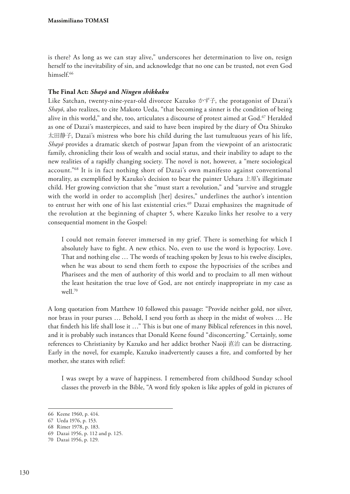is there? As long as we can stay alive," underscores her determination to live on, resign herself to the inevitability of sin, and acknowledge that no one can be trusted, not even God himself<sup>66</sup>

# **The Final Act:** *Shayō* **and** *Ningen shikkaku*

Like Satchan, twenty-nine-year-old divorcee Kazuko かず子, the protagonist of Dazai's *Shayō*, also realizes, to cite Makoto Ueda, "that becoming a sinner is the condition of being alive in this world," and she, too, articulates a discourse of protest aimed at God.67 Heralded as one of Dazai's masterpieces, and said to have been inspired by the diary of Ōta Shizuko 太田静子, Dazai's mistress who bore his child during the last tumultuous years of his life, *Shayō* provides a dramatic sketch of postwar Japan from the viewpoint of an aristocratic family, chronicling their loss of wealth and social status, and their inability to adapt to the new realities of a rapidly changing society. The novel is not, however, a "mere sociological account."68 It is in fact nothing short of Dazai's own manifesto against conventional morality, as exemplified by Kazuko's decision to bear the painter Uehara  $\pm \mathbb{E}$ 's illegitimate child. Her growing conviction that she "must start a revolution," and "survive and struggle with the world in order to accomplish [her] desires," underlines the author's intention to entrust her with one of his last existential cries.<sup>69</sup> Dazai emphasizes the magnitude of the revolution at the beginning of chapter 5, where Kazuko links her resolve to a very consequential moment in the Gospel:

I could not remain forever immersed in my grief. There is something for which I absolutely have to fght. A new ethics. No, even to use the word is hypocrisy. Love. That and nothing else … The words of teaching spoken by Jesus to his twelve disciples, when he was about to send them forth to expose the hypocrisies of the scribes and Pharisees and the men of authority of this world and to proclaim to all men without the least hesitation the true love of God, are not entirely inappropriate in my case as well.70

A long quotation from Matthew 10 followed this passage: "Provide neither gold, nor silver, nor brass in your purses … Behold, I send you forth as sheep in the midst of wolves … He that fndeth his life shall lose it …" This is but one of many Biblical references in this novel, and it is probably such instances that Donald Keene found "disconcerting." Certainly, some references to Christianity by Kazuko and her addict brother Naoji 直治 can be distracting. Early in the novel, for example, Kazuko inadvertently causes a fre, and comforted by her mother, she states with relief:

I was swept by a wave of happiness. I remembered from childhood Sunday school classes the proverb in the Bible, "A word ftly spoken is like apples of gold in pictures of

<sup>66</sup> Keene 1960, p. 414.

<sup>67</sup> Ueda 1976, p. 153.

<sup>68</sup> Rimer 1978, p. 183.

<sup>69</sup> Dazai 1956, p. 112 and p. 125.

<sup>70</sup> Dazai 1956, p. 129.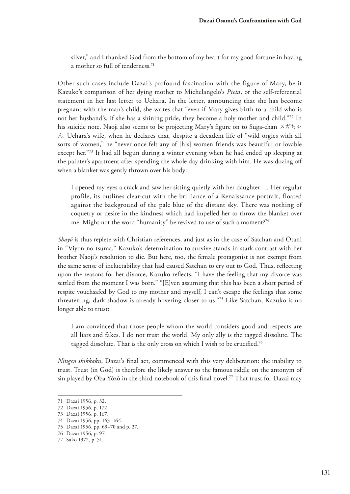silver," and I thanked God from the bottom of my heart for my good fortune in having a mother so full of tenderness.<sup>71</sup>

Other such cases include Dazai's profound fascination with the figure of Mary, be it Kazuko's comparison of her dying mother to Michelangelo's *Pieta*, or the self-referential statement in her last letter to Uehara. In the letter, announcing that she has become pregnant with the man's child, she writes that "even if Mary gives birth to a child who is not her husband's, if she has a shining pride, they become a holy mother and child."72 In his suicide note, Naoji also seems to be projecting Mary's fgure on to Suga-chan スガちゃ  $\lambda$ , Uehara's wife, when he declares that, despite a decadent life of "wild orgies with all sorts of women," he "never once felt any of [his] women friends was beautiful or lovable except her."<sup>73</sup> It had all begun during a winter evening when he had ended up sleeping at the painter's apartment after spending the whole day drinking with him. He was dozing of when a blanket was gently thrown over his body:

I opened my eyes a crack and saw her sitting quietly with her daughter … Her regular profile, its outlines clear-cut with the brilliance of a Renaissance portrait, floated against the background of the pale blue of the distant sky. There was nothing of coquetry or desire in the kindness which had impelled her to throw the blanket over me. Might not the word "humanity" be revived to use of such a moment?<sup>74</sup>

*Shayō* is thus replete with Christian references, and just as in the case of Satchan and Ōtani in "Viyon no tsuma," Kazuko's determination to survive stands in stark contrast with her brother Naoji's resolution to die. But here, too, the female protagonist is not exempt from the same sense of ineluctability that had caused Satchan to cry out to God. Thus, refecting upon the reasons for her divorce, Kazuko refects, "I have the feeling that my divorce was settled from the moment I was born." "[E]ven assuming that this has been a short period of respite vouchsafed by God to my mother and myself, I can't escape the feelings that some threatening, dark shadow is already hovering closer to us."75 Like Satchan, Kazuko is no longer able to trust:

I am convinced that those people whom the world considers good and respects are all liars and fakes. I do not trust the world. My only ally is the tagged dissolute. The tagged dissolute. That is the only cross on which I wish to be crucified.<sup>76</sup>

*Ningen shikkaku*, Dazai's fnal act, commenced with this very deliberation: the inability to trust. Trust (in God) is therefore the likely answer to the famous riddle on the antonym of sin played by Ōba Yōzō in the third notebook of this fnal novel.77 That trust for Dazai may

<sup>71</sup> Dazai 1956, p. 32.

<sup>72</sup> Dazai 1956, p. 172.

<sup>73</sup> Dazai 1956, p. 167.

<sup>74</sup> Dazai 1956, pp. 163–164.

<sup>75</sup> Dazai 1956, pp. 69–70 and p. 27.

<sup>76</sup> Dazai 1956, p. 97.

<sup>77</sup> Sako 1972, p. 51.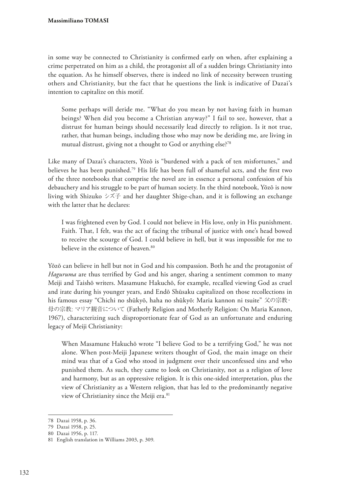in some way be connected to Christianity is confrmed early on when, after explaining a crime perpetrated on him as a child, the protagonist all of a sudden brings Christianity into the equation. As he himself observes, there is indeed no link of necessity between trusting others and Christianity, but the fact that he questions the link is indicative of Dazai's intention to capitalize on this motif.

Some perhaps will deride me. "What do you mean by not having faith in human beings? When did you become a Christian anyway?" I fail to see, however, that a distrust for human beings should necessarily lead directly to religion. Is it not true, rather, that human beings, including those who may now be deriding me, are living in mutual distrust, giving not a thought to God or anything else?<sup>78</sup>

Like many of Dazai's characters, Yōzō is "burdened with a pack of ten misfortunes," and believes he has been punished.79 His life has been full of shameful acts, and the frst two of the three notebooks that comprise the novel are in essence a personal confession of his debauchery and his struggle to be part of human society. In the third notebook, Yōzō is now living with Shizuko シズ子 and her daughter Shige-chan, and it is following an exchange with the latter that he declares:

I was frightened even by God. I could not believe in His love, only in His punishment. Faith. That, I felt, was the act of facing the tribunal of justice with one's head bowed to receive the scourge of God. I could believe in hell, but it was impossible for me to believe in the existence of heaven.<sup>80</sup>

Yōzō can believe in hell but not in God and his compassion. Both he and the protagonist of *Haguruma* are thus terrifed by God and his anger, sharing a sentiment common to many Meiji and Taishō writers. Masamune Hakuchō, for example, recalled viewing God as cruel and irate during his younger years, and Endō Shūsaku capitalized on those recollections in his famous essay "Chichi no shūkyō, haha no shūkyō: Maria kannon ni tsuite" 父の宗教・ 母の宗教: マリア観音について (Fatherly Religion and Motherly Religion: On Maria Kannon, 1967), characterizing such disproportionate fear of God as an unfortunate and enduring legacy of Meiji Christianity:

When Masamune Hakuchō wrote "I believe God to be a terrifying God," he was not alone. When post-Meiji Japanese writers thought of God, the main image on their mind was that of a God who stood in judgment over their unconfessed sins and who punished them. As such, they came to look on Christianity, not as a religion of love and harmony, but as an oppressive religion. It is this one-sided interpretation, plus the view of Christianity as a Western religion, that has led to the predominantly negative view of Christianity since the Meiji era.<sup>81</sup>

<sup>78</sup> Dazai 1958, p. 36.

<sup>79</sup> Dazai 1958, p. 25.

<sup>80</sup> Dazai 1956, p. 117.

<sup>81</sup> English translation in Williams 2003, p. 309.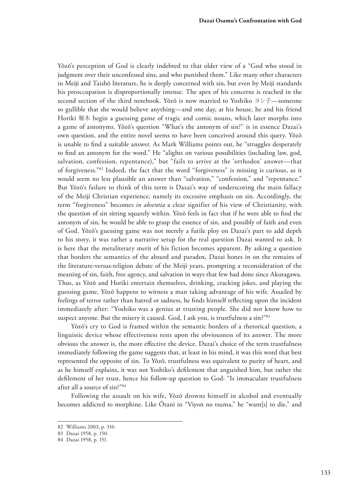Yōzō's perception of God is clearly indebted to that older view of a "God who stood in judgment over their unconfessed sins, and who punished them." Like many other characters in Meiji and Taishō literature, he is deeply concerned with sin, but even by Meiji standards his preoccupation is disproportionally intense. The apex of his concerns is reached in the second section of the third notebook. Yōzō is now married to Yoshiko ヨシ子—someone so gullible that she would believe anything—and one day, at his house, he and his friend Horiki 堀木 begin a guessing game of tragic and comic nouns, which later morphs into a game of antonyms. Yōzō's question "What's the antonym of sin?" is in essence Dazai's own question, and the entire novel seems to have been conceived around this query. Yōzō is unable to fnd a suitable answer. As Mark Williams points out, he "struggles desperately to fnd an antonym for the word." He "alights on various possibilities (including law, god, salvation, confession, repentance)," but "fails to arrive at the 'orthodox' answer—that of forgiveness."82 Indeed, the fact that the word "forgiveness" is missing is curious, as it would seem no less plausible an answer than "salvation," "confession," and "repentance." But Yōzō's failure to think of this term is Dazai's way of underscoring the main fallacy of the Meiji Christian experience, namely its excessive emphasis on sin. Accordingly, the term "forgiveness" becomes *in absentia* a clear signifier of his view of Christianity, with the question of sin sitting squarely within. Yōzō feels in fact that if he were able to fnd the antonym of sin, he would be able to grasp the essence of sin, and possibly of faith and even of God. Yōzō's guessing game was not merely a futile ploy on Dazai's part to add depth to his story, it was rather a narrative setup for the real question Dazai wanted to ask. It is here that the metaliterary merit of his fiction becomes apparent. By asking a question that borders the semantics of the absurd and paradox, Dazai hones in on the remains of the literature-versus-religion debate of the Meiji years, prompting a reconsideration of the meaning of sin, faith, free agency, and salvation in ways that few had done since Akutagawa. Thus, as Yōzō and Horiki entertain themselves, drinking, cracking jokes, and playing the guessing game, Yōzō happens to witness a man taking advantage of his wife. Assailed by feelings of terror rather than hatred or sadness, he fnds himself refecting upon the incident immediately after: "Yoshiko was a genius at trusting people. She did not know how to suspect anyone. But the misery it caused. God, I ask you, is trustfulness a sin?"83

Yōzō's cry to God is framed within the semantic borders of a rhetorical question, a linguistic device whose effectiveness rests upon the obviousness of its answer. The more obvious the answer is, the more efective the device. Dazai's choice of the term trustfulness immediately following the game suggests that, at least in his mind, it was this word that best represented the opposite of sin. To Yōzō, trustfulness was equivalent to purity of heart, and as he himself explains, it was not Yoshiko's deflement that anguished him, but rather the deflement of her trust, hence his follow-up question to God: "Is immaculate trustfulness after all a source of sin?"84

Following the assault on his wife, Yōzō drowns himself in alcohol and eventually becomes addicted to morphine. Like Ōtani in "Viyon no tsuma," he "want[s] to die," and

<sup>82</sup> Williams 2003, p. 310.

<sup>83</sup> Dazai 1958, p. 150.

<sup>84</sup> Dazai 1958, p. 151.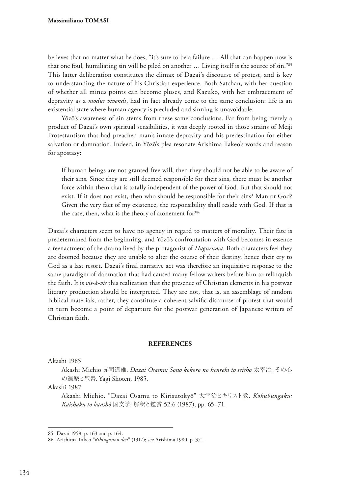believes that no matter what he does, "it's sure to be a failure … All that can happen now is that one foul, humiliating sin will be piled on another … Living itself is the source of sin."85 This latter deliberation constitutes the climax of Dazai's discourse of protest, and is key to understanding the nature of his Christian experience. Both Satchan, with her question of whether all minus points can become pluses, and Kazuko, with her embracement of depravity as a *modus vivendi*, had in fact already come to the same conclusion: life is an existential state where human agency is precluded and sinning is unavoidable.

Yōzō's awareness of sin stems from these same conclusions. Far from being merely a product of Dazai's own spiritual sensibilities, it was deeply rooted in those strains of Meiji Protestantism that had preached man's innate depravity and his predestination for either salvation or damnation. Indeed, in Yōzō's plea resonate Arishima Takeo's words and reason for apostasy:

If human beings are not granted free will, then they should not be able to be aware of their sins. Since they are still deemed responsible for their sins, there must be another force within them that is totally independent of the power of God. But that should not exist. If it does not exist, then who should be responsible for their sins? Man or God? Given the very fact of my existence, the responsibility shall reside with God. If that is the case, then, what is the theory of atonement for?86

Dazai's characters seem to have no agency in regard to matters of morality. Their fate is predetermined from the beginning, and Yōzō's confrontation with God becomes in essence a reenactment of the drama lived by the protagonist of *Haguruma*. Both characters feel they are doomed because they are unable to alter the course of their destiny, hence their cry to God as a last resort. Dazai's fnal narrative act was therefore an inquisitive response to the same paradigm of damnation that had caused many fellow writers before him to relinquish the faith. It is *vis-à-vis* this realization that the presence of Christian elements in his postwar literary production should be interpreted. They are not, that is, an assemblage of random Biblical materials; rather, they constitute a coherent salvifc discourse of protest that would in turn become a point of departure for the postwar generation of Japanese writers of Christian faith.

#### **REFERENCES**

Akashi 1985

Akashi Michio 赤司道雄. *Dazai Osamu: Sono kokoro no henreki to seisho* 太宰治: その心 の遍歴と聖書. Yagi Shoten, 1985.

Akashi 1987

Akashi Michio. "Dazai Osamu to Kirisutokyō" 太宰治とキリスト教. *Kokubungaku: Kaishaku to kanshō* 国文学: 解釈と鑑賞 52:6 (1987), pp. 65–71.

<sup>85</sup> Dazai 1958, p. 163 and p. 164.

<sup>86</sup> Arishima Takeo "*Ribinguston den*" (1917); see Arishima 1980, p. 371.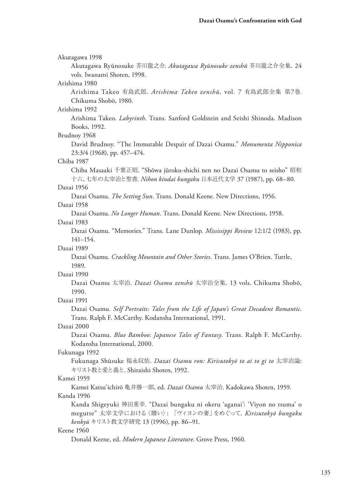| Akutagawa 1998                                                                       |
|--------------------------------------------------------------------------------------|
| Akutagawa Ryūnosuke 芥川龍之介. Akutagawa Ryūnosuke zenshū 芥川龍之介全集. 24                    |
| vols. Iwanami Shoten, 1998.                                                          |
| Arishima 1980                                                                        |
| Arishima Takeo 有島武郎. Arishima Takeo zenshū, vol. 7 有島武郎全集 第7巻.                       |
| Chikuma Shobō, 1980.                                                                 |
| Arishima 1992                                                                        |
| Arishima Takeo. Labyrinth. Trans. Sanford Goldstein and Seishi Shinoda. Madison      |
| Books, 1992.                                                                         |
| Brudnoy 1968                                                                         |
| David Brudnoy. "The Immutable Despair of Dazai Osamu." Monumenta Nipponica           |
| 23:3/4 (1968), pp. 457-474.                                                          |
| Chiba 1987                                                                           |
| Chiba Masaaki 千葉正昭. "Shōwa jūroku-shichi nen no Dazai Osamu to seisho" 昭和            |
| 十六、七年の太宰治と聖書. Nihon kindai bungaku 日本近代文学 37 (1987), pp. 68-80.                      |
| Dazai 1956                                                                           |
| Dazai Osamu. The Setting Sun. Trans. Donald Keene. New Directions, 1956.             |
| Dazai 1958                                                                           |
| Dazai Osamu. No Longer Human. Trans. Donald Keene. New Directions, 1958.             |
| Dazai 1983                                                                           |
| Dazai Osamu. "Memories." Trans. Lane Dunlop. Mississippi Review 12:1/2 (1983), pp.   |
| $141 - 154.$                                                                         |
| Dazai 1989                                                                           |
| Dazai Osamu. Crackling Mountain and Other Stories. Trans. James O'Brien. Tuttle,     |
| 1989.                                                                                |
| Dazai 1990                                                                           |
| Dazai Osamu 太宰治. <i>Dazai Osamu zenshū</i> 太宰治全集. 13 vols. Chikuma Shobō,            |
| 1990.                                                                                |
| Dazai 1991                                                                           |
| Dazai Osamu. Self Portraits: Tales from the Life of Japan's Great Decadent Romantic. |
| Trans. Ralph F. McCarthy. Kodansha International, 1991.                              |
| Dazai 2000                                                                           |
| Dazai Osamu. Blue Bamboo: Japanese Tales of Fantasy. Trans. Ralph F. McCarthy.       |
| Kodansha International, 2000.                                                        |
| Fukunaga 1992                                                                        |
| Fukunaga Shūsuke 福永収佑. Dazai Osamu ron: Kirisutokyō to ai to gi to 太宰治論:             |
| キリスト教と愛と義と. Shiraishi Shoten, 1992.                                                  |
| Kamei 1959                                                                           |
| Kamei Katsu'ichirō 亀井勝一郎, ed. Dazai Osamu 太宰治. Kadokawa Shoten, 1959.                |
| Kanda 1996                                                                           |
| Kanda Shigeyuki 神田重幸. "Dazai bungaku ni okeru 'aganai': 'Viyon no tsuma' o           |
| megutte"太宰文学における〈贖い〉:「ヴィヨンの妻」をめぐって. Kirisutokyō bungaku                              |
| kenkyū キリスト教文学研究 13 (1996), pp. 86-91.                                               |
| Keene 1960                                                                           |
| Donald Keene, ed. Modern Japanese Literature. Grove Press, 1960.                     |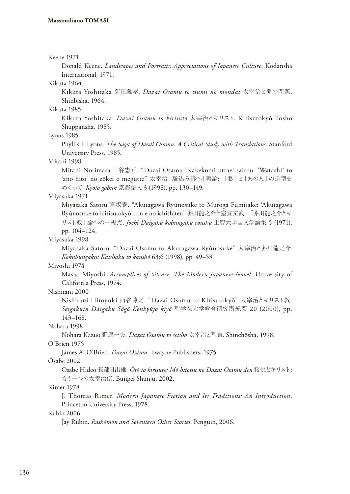#### Keene 1971

Donald Keene. *Landscapes and Portraits: Appreciations of Japanese Culture*. Kodansha International, 1971.

# Kikuta 1964

Kikuta Yoshitaka 菊田義孝. *Dazai Osamu to tsumi no mondai* 太宰治と罪の問題. Shinbisha, 1964.

# Kikuta 1985

Kikuta Yoshitaka. *Dazai Osamu to kirisuto* 太宰治とキリスト. Kirisutokyō Tosho Shuppansha, 1985.

# Lyons 1985

Phyllis I. Lyons. *The Saga of Dazai Osamu: A Critical Study with Translations*. Stanford University Press, 1985.

#### Mitani 1998

Mitani Norimasa 三谷憲正. "Dazai Osamu 'Kakekomi uttae' sairon: 'Watashi' to 'ano hito' no zōkei o megutte" 太宰治「駈込み訴へ」再論: 「私」と「あの人」の造型を めぐって. *Kyōto gobun* 京都語文 3 (1998), pp. 130–149.

#### Miyasaka 1971

Miyasaka Satoru 宮坂覺. "Akutagawa Ryūnosuke to Muroga Fumitake: 'Akutagawa Ryūnosuke to Kirisutokyō' ron e no ichishiten" 芥川龍之介と室賀文武: 「芥川龍之介とキ リスト教」論への一視点. *Jōchi Daigaku kobungaku ronshū* 上智大学国文学論集 5 (1971), pp. 104–124.

#### Miyasaka 1998

Miyasaka Satoru. "Dazai Osamu to Akutagawa Ryūnosuke" 太宰治と芥川龍之介. *Kokubungaku: Kaishaku to kanshō* 63:6 (1998), pp. 49–53.

#### Miyoshi 1974

Masao Miyoshi. *Accomplices of Silence: The Modern Japanese Novel*. University of California Press, 1974.

Nishitani 2000

Nishitani Hiroyuki 西谷博之. "Dazai Osamu to Kirisutokyō" 太宰治とキリスト教. *Seigakuin Daigaku Sōgō Kenkyūjo kiyō* 聖学院大学総合研究所紀要 20 (2000), pp. 143–168.

# Nohara 1998

Nohara Kazuo 野原一夫. *Dazai Osamu to seisho* 太宰治と聖書. Shinchōsha, 1998.

#### O'Brien 1975

James A. O'Brien. *Dazai Osamu*. Twayne Publishers, 1975.

# Osabe 2002

Osabe Hideo 長部日出雄. *Ōtō to kirisuto: Mō hitotsu no Dazai Osamu den* 桜桃とキリスト: もう一つの太宰治伝. Bungei Shunjū, 2002.

# Rimer 1978

J. Thomas Rimer. *Modern Japanese Fiction and Its Traditions: An Introduction*. Princeton University Press, 1978.

# Rubin 2006

Jay Rubin. *Rashōmon and Seventeen Other Stories*. Penguin, 2006.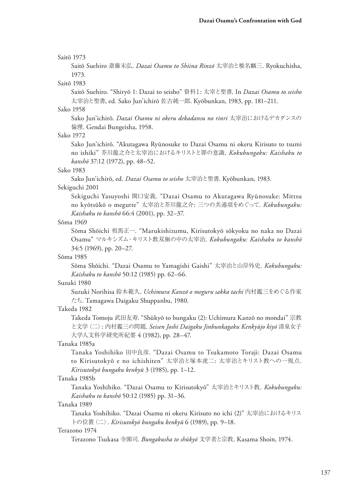#### Saitō 1973

Saitō Suehiro 斎藤末弘. *Dazai Osamu to Shiina Rinzō* 太宰治と椎名麟三. Ryokuchisha, 1973.

#### Saitō 1983

Saitō Suehiro. "Shiryō 1: Dazai to seisho" 資料1: 太宰と聖書. In *Dazai Osamu to seisho*  太宰治と聖書, ed. Sako Jun'ichirō 佐古純一郎. Kyōbunkan, 1983, pp. 181–211.

#### Sako 1958

Sako Jun'ichirō. *Dazai Osamu ni okeru dekadansu no rinri* 太宰治におけるデカダンスの 倫理. Gendai Bungeisha, 1958.

#### Sako 1972

Sako Jun'ichirō. "Akutagawa Ryūnosuke to Dazai Osamu ni okeru Kirisuto to tsumi no ishiki" 芥川龍之介と太宰治におけるキリストと罪の意識. *Kokubungaku: Kaishaku to kanshō* 37:12 (1972), pp. 48–52.

#### Sako 1983

Sako Jun'ichirō, ed. *Dazai Osamu to seisho* 太宰治と聖書. Kyōbunkan, 1983.

#### Sekiguchi 2001

Sekiguchi Yasuyoshi 関口安義. "Dazai Osamu to Akutagawa Ryūnosuke: Mittsu no kyōtsūkō o megutte" 太宰治と芥川龍之介: 三つの共通項をめぐって. *Kokubungaku: Kaishaku to kanshō* 66:4 (2001), pp. 32–37.

# Sōma 1969

Sōma Shōichi 相馬正一. "Marukishizumu, Kirisutokyō sōkyoku no naka no Dazai Osamu" マルキシズム・キリスト教双極の中の太宰治. *Kokubungaku: Kaishaku to kanshō* 34:5 (1969), pp. 20–27.

# Sōma 1985

Sōma Shōichi. "Dazai Osamu to Yamagishi Gaishi" 太宰治と山岸外史. *Kokubungaku: Kaishaku to kanshō* 50:12 (1985) pp. 62–66.

#### Suzuki 1980

Suzuki Norihisa 鈴木範久. *Uchimura Kanzō o meguru sakka tachi* 内村鑑三をめぐる作家 たち. Tamagawa Daigaku Shuppanbu, 1980.

# Takeda 1982

Takeda Tomoju 武田友寿. "Shūkyō to bungaku (2): Uchimura Kanzō no mondai" 宗教 と文学(二): 内村鑑三の問題. *Seisen Joshi Daigaku Jinbunkagaku Kenkyūjo kiyō* 清泉女子 大学人文科学研究所紀要 4 (1982), pp. 28–47.

# Tanaka 1985a

Tanaka Yoshihiko 田中良彦. "Dazai Osamu to Tsukamoto Toraji: Dazai Osamu to Kirisutokyō e no ichishiten" 太宰治と塚本虎二: 太宰治とキリスト教への一視点. *Kirisutokyō bungaku kenkyū* 3 (1985), pp. 1–12.

#### Tanaka 1985b

Tanaka Yoshihiko. "Dazai Osamu to Kirisutokyō" 太宰治とキリスト教. *Kokubungaku: Kaishaku to kanshō* 50:12 (1985) pp. 31–36.

#### Tanaka 1989

Tanaka Yoshihiko. "Dazai Osamu ni okeru Kirisuto no ichi (2)" 太宰治におけるキリス トの位置(二). *Kirisutokyō bungaku kenkyū* 6 (1989), pp. 9–18.

#### Terazono 1974

Terazono Tsukasa 寺園司. *Bungakusha to shūkyō* 文学者と宗教. Kasama Shoin, 1974.